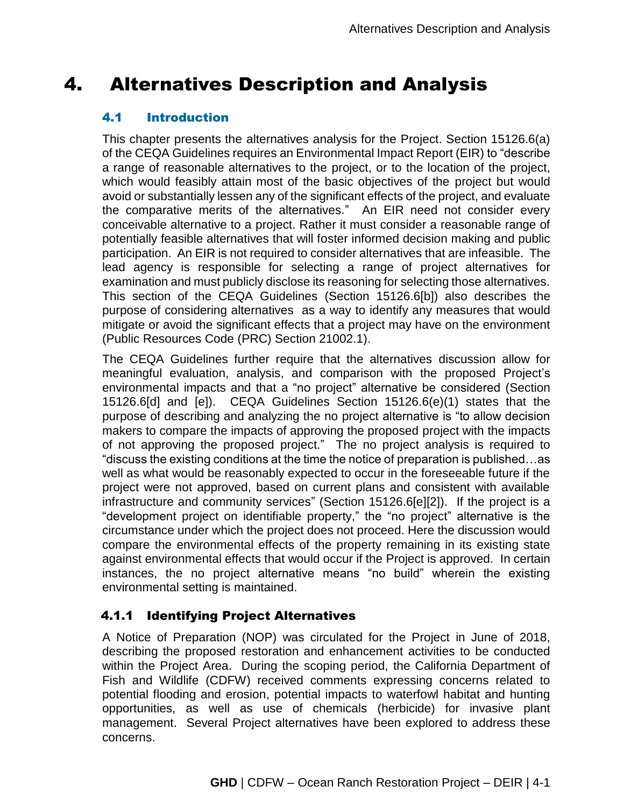# 4. Alternatives Description and Analysis

# 4.1 Introduction

This chapter presents the alternatives analysis for the Project. Section 15126.6(a) of the CEQA Guidelines requires an Environmental Impact Report (EIR) to "describe a range of reasonable alternatives to the project, or to the location of the project, which would feasibly attain most of the basic objectives of the project but would avoid or substantially lessen any of the significant effects of the project, and evaluate the comparative merits of the alternatives." An EIR need not consider every conceivable alternative to a project. Rather it must consider a reasonable range of potentially feasible alternatives that will foster informed decision making and public participation. An EIR is not required to consider alternatives that are infeasible. The lead agency is responsible for selecting a range of project alternatives for examination and must publicly disclose its reasoning for selecting those alternatives. This section of the CEQA Guidelines (Section 15126.6[b]) also describes the purpose of considering alternatives as a way to identify any measures that would mitigate or avoid the significant effects that a project may have on the environment (Public Resources Code (PRC) Section 21002.1).

The CEQA Guidelines further require that the alternatives discussion allow for meaningful evaluation, analysis, and comparison with the proposed Project's environmental impacts and that a "no project" alternative be considered (Section 15126.6[d] and [e]). CEQA Guidelines Section 15126.6(e)(1) states that the purpose of describing and analyzing the no project alternative is "to allow decision makers to compare the impacts of approving the proposed project with the impacts of not approving the proposed project." The no project analysis is required to "discuss the existing conditions at the time the notice of preparation is published…as well as what would be reasonably expected to occur in the foreseeable future if the project were not approved, based on current plans and consistent with available infrastructure and community services" (Section 15126.6[e][2]). If the project is a "development project on identifiable property," the "no project" alternative is the circumstance under which the project does not proceed. Here the discussion would compare the environmental effects of the property remaining in its existing state against environmental effects that would occur if the Project is approved. In certain instances, the no project alternative means "no build" wherein the existing environmental setting is maintained.

# 4.1.1 Identifying Project Alternatives

A Notice of Preparation (NOP) was circulated for the Project in June of 2018, describing the proposed restoration and enhancement activities to be conducted within the Project Area. During the scoping period, the California Department of Fish and Wildlife (CDFW) received comments expressing concerns related to potential flooding and erosion, potential impacts to waterfowl habitat and hunting opportunities, as well as use of chemicals (herbicide) for invasive plant management. Several Project alternatives have been explored to address these concerns.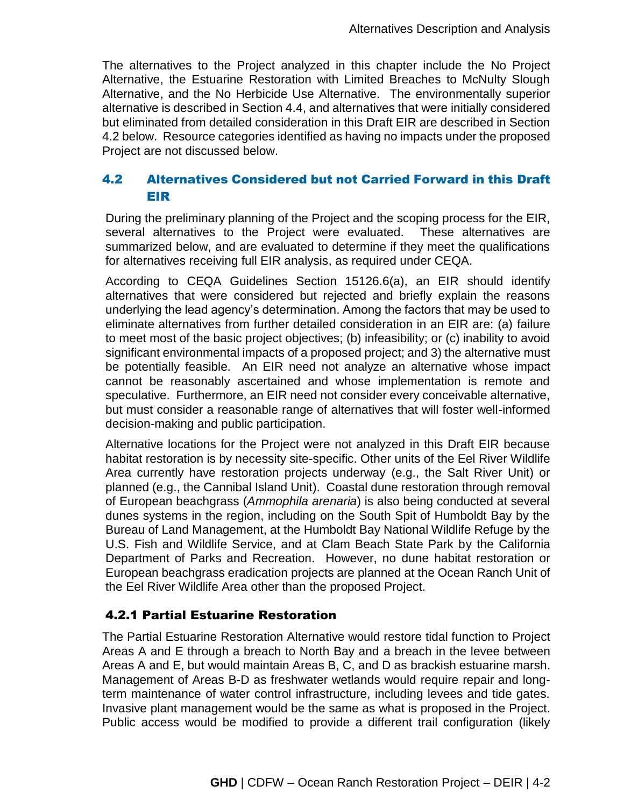The alternatives to the Project analyzed in this chapter include the No Project Alternative, the Estuarine Restoration with Limited Breaches to McNulty Slough Alternative, and the No Herbicide Use Alternative. The environmentally superior alternative is described in Section 4.4, and alternatives that were initially considered but eliminated from detailed consideration in this Draft EIR are described in Section 4.2 below. Resource categories identified as having no impacts under the proposed Project are not discussed below.

# 4.2 Alternatives Considered but not Carried Forward in this Draft EIR

During the preliminary planning of the Project and the scoping process for the EIR, several alternatives to the Project were evaluated. These alternatives are summarized below, and are evaluated to determine if they meet the qualifications for alternatives receiving full EIR analysis, as required under CEQA.

According to CEQA Guidelines Section 15126.6(a), an EIR should identify alternatives that were considered but rejected and briefly explain the reasons underlying the lead agency's determination. Among the factors that may be used to eliminate alternatives from further detailed consideration in an EIR are: (a) failure to meet most of the basic project objectives; (b) infeasibility; or (c) inability to avoid significant environmental impacts of a proposed project; and 3) the alternative must be potentially feasible. An EIR need not analyze an alternative whose impact cannot be reasonably ascertained and whose implementation is remote and speculative. Furthermore, an EIR need not consider every conceivable alternative, but must consider a reasonable range of alternatives that will foster well-informed decision-making and public participation.

Alternative locations for the Project were not analyzed in this Draft EIR because habitat restoration is by necessity site-specific. Other units of the Eel River Wildlife Area currently have restoration projects underway (e.g., the Salt River Unit) or planned (e.g., the Cannibal Island Unit). Coastal dune restoration through removal of European beachgrass (*Ammophila arenaria*) is also being conducted at several dunes systems in the region, including on the South Spit of Humboldt Bay by the Bureau of Land Management, at the Humboldt Bay National Wildlife Refuge by the U.S. Fish and Wildlife Service, and at Clam Beach State Park by the California Department of Parks and Recreation. However, no dune habitat restoration or European beachgrass eradication projects are planned at the Ocean Ranch Unit of the Eel River Wildlife Area other than the proposed Project.

# 4.2.1 Partial Estuarine Restoration

The Partial Estuarine Restoration Alternative would restore tidal function to Project Areas A and E through a breach to North Bay and a breach in the levee between Areas A and E, but would maintain Areas B, C, and D as brackish estuarine marsh. Management of Areas B-D as freshwater wetlands would require repair and longterm maintenance of water control infrastructure, including levees and tide gates. Invasive plant management would be the same as what is proposed in the Project. Public access would be modified to provide a different trail configuration (likely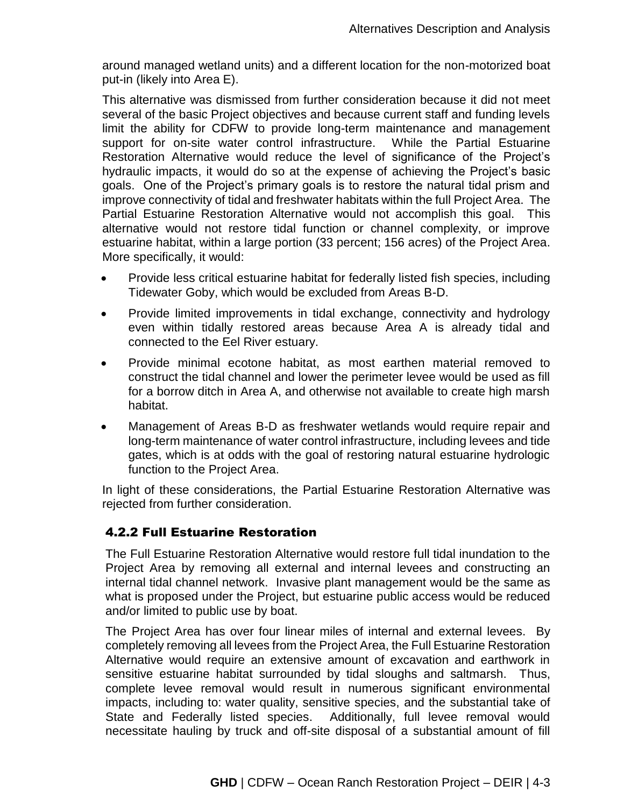around managed wetland units) and a different location for the non-motorized boat put-in (likely into Area E).

This alternative was dismissed from further consideration because it did not meet several of the basic Project objectives and because current staff and funding levels limit the ability for CDFW to provide long-term maintenance and management support for on-site water control infrastructure. While the Partial Estuarine Restoration Alternative would reduce the level of significance of the Project's hydraulic impacts, it would do so at the expense of achieving the Project's basic goals. One of the Project's primary goals is to restore the natural tidal prism and improve connectivity of tidal and freshwater habitats within the full Project Area. The Partial Estuarine Restoration Alternative would not accomplish this goal. This alternative would not restore tidal function or channel complexity, or improve estuarine habitat, within a large portion (33 percent; 156 acres) of the Project Area. More specifically, it would:

- Provide less critical estuarine habitat for federally listed fish species, including Tidewater Goby, which would be excluded from Areas B-D.
- Provide limited improvements in tidal exchange, connectivity and hydrology even within tidally restored areas because Area A is already tidal and connected to the Eel River estuary.
- Provide minimal ecotone habitat, as most earthen material removed to construct the tidal channel and lower the perimeter levee would be used as fill for a borrow ditch in Area A, and otherwise not available to create high marsh habitat.
- Management of Areas B-D as freshwater wetlands would require repair and long-term maintenance of water control infrastructure, including levees and tide gates, which is at odds with the goal of restoring natural estuarine hydrologic function to the Project Area.

In light of these considerations, the Partial Estuarine Restoration Alternative was rejected from further consideration.

# 4.2.2 Full Estuarine Restoration

The Full Estuarine Restoration Alternative would restore full tidal inundation to the Project Area by removing all external and internal levees and constructing an internal tidal channel network. Invasive plant management would be the same as what is proposed under the Project, but estuarine public access would be reduced and/or limited to public use by boat.

The Project Area has over four linear miles of internal and external levees. By completely removing all levees from the Project Area, the Full Estuarine Restoration Alternative would require an extensive amount of excavation and earthwork in sensitive estuarine habitat surrounded by tidal sloughs and saltmarsh. Thus, complete levee removal would result in numerous significant environmental impacts, including to: water quality, sensitive species, and the substantial take of State and Federally listed species. Additionally, full levee removal would necessitate hauling by truck and off-site disposal of a substantial amount of fill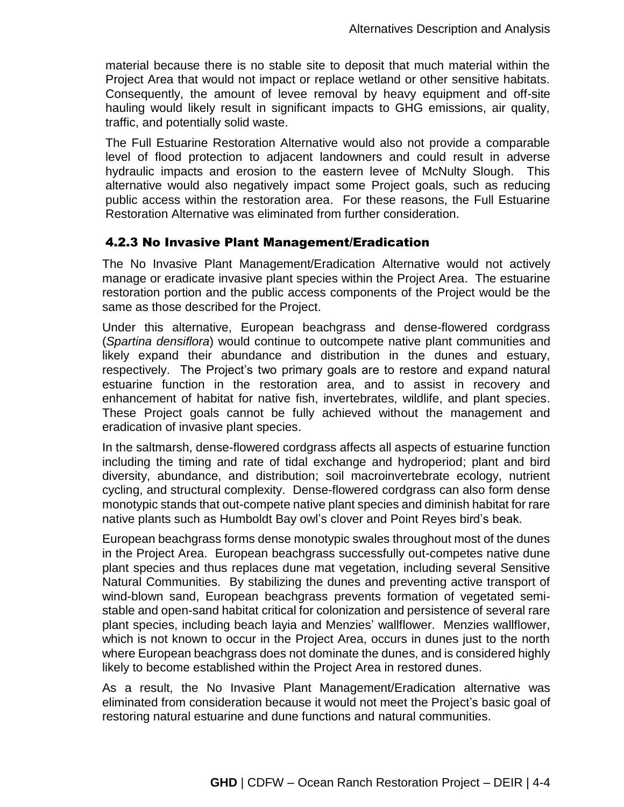material because there is no stable site to deposit that much material within the Project Area that would not impact or replace wetland or other sensitive habitats. Consequently, the amount of levee removal by heavy equipment and off-site hauling would likely result in significant impacts to GHG emissions, air quality, traffic, and potentially solid waste.

The Full Estuarine Restoration Alternative would also not provide a comparable level of flood protection to adjacent landowners and could result in adverse hydraulic impacts and erosion to the eastern levee of McNulty Slough. This alternative would also negatively impact some Project goals, such as reducing public access within the restoration area. For these reasons, the Full Estuarine Restoration Alternative was eliminated from further consideration.

## 4.2.3 No Invasive Plant Management/Eradication

The No Invasive Plant Management/Eradication Alternative would not actively manage or eradicate invasive plant species within the Project Area. The estuarine restoration portion and the public access components of the Project would be the same as those described for the Project.

Under this alternative, European beachgrass and dense-flowered cordgrass (*Spartina densiflora*) would continue to outcompete native plant communities and likely expand their abundance and distribution in the dunes and estuary, respectively. The Project's two primary goals are to restore and expand natural estuarine function in the restoration area, and to assist in recovery and enhancement of habitat for native fish, invertebrates, wildlife, and plant species. These Project goals cannot be fully achieved without the management and eradication of invasive plant species.

In the saltmarsh, dense-flowered cordgrass affects all aspects of estuarine function including the timing and rate of tidal exchange and hydroperiod; plant and bird diversity, abundance, and distribution; soil macroinvertebrate ecology, nutrient cycling, and structural complexity. Dense-flowered cordgrass can also form dense monotypic stands that out-compete native plant species and diminish habitat for rare native plants such as Humboldt Bay owl's clover and Point Reyes bird's beak.

European beachgrass forms dense monotypic swales throughout most of the dunes in the Project Area. European beachgrass successfully out-competes native dune plant species and thus replaces dune mat vegetation, including several Sensitive Natural Communities. By stabilizing the dunes and preventing active transport of wind-blown sand, European beachgrass prevents formation of vegetated semistable and open-sand habitat critical for colonization and persistence of several rare plant species, including beach layia and Menzies' wallflower. Menzies wallflower, which is not known to occur in the Project Area, occurs in dunes just to the north where European beachgrass does not dominate the dunes, and is considered highly likely to become established within the Project Area in restored dunes.

As a result, the No Invasive Plant Management/Eradication alternative was eliminated from consideration because it would not meet the Project's basic goal of restoring natural estuarine and dune functions and natural communities.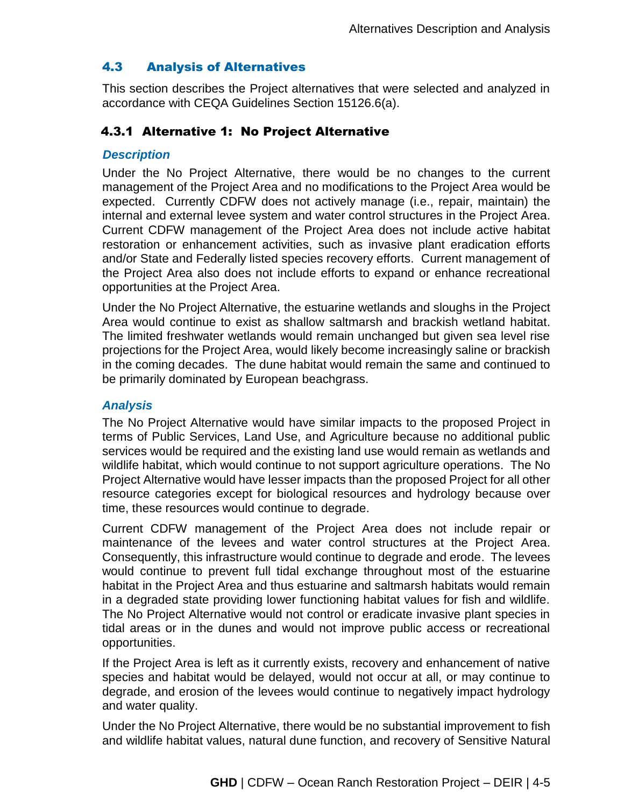# 4.3 Analysis of Alternatives

This section describes the Project alternatives that were selected and analyzed in accordance with CEQA Guidelines Section 15126.6(a).

## 4.3.1 Alternative 1: No Project Alternative

#### *Description*

Under the No Project Alternative, there would be no changes to the current management of the Project Area and no modifications to the Project Area would be expected. Currently CDFW does not actively manage (i.e., repair, maintain) the internal and external levee system and water control structures in the Project Area. Current CDFW management of the Project Area does not include active habitat restoration or enhancement activities, such as invasive plant eradication efforts and/or State and Federally listed species recovery efforts. Current management of the Project Area also does not include efforts to expand or enhance recreational opportunities at the Project Area.

Under the No Project Alternative, the estuarine wetlands and sloughs in the Project Area would continue to exist as shallow saltmarsh and brackish wetland habitat. The limited freshwater wetlands would remain unchanged but given sea level rise projections for the Project Area, would likely become increasingly saline or brackish in the coming decades. The dune habitat would remain the same and continued to be primarily dominated by European beachgrass.

#### *Analysis*

The No Project Alternative would have similar impacts to the proposed Project in terms of Public Services, Land Use, and Agriculture because no additional public services would be required and the existing land use would remain as wetlands and wildlife habitat, which would continue to not support agriculture operations. The No Project Alternative would have lesser impacts than the proposed Project for all other resource categories except for biological resources and hydrology because over time, these resources would continue to degrade.

Current CDFW management of the Project Area does not include repair or maintenance of the levees and water control structures at the Project Area. Consequently, this infrastructure would continue to degrade and erode. The levees would continue to prevent full tidal exchange throughout most of the estuarine habitat in the Project Area and thus estuarine and saltmarsh habitats would remain in a degraded state providing lower functioning habitat values for fish and wildlife. The No Project Alternative would not control or eradicate invasive plant species in tidal areas or in the dunes and would not improve public access or recreational opportunities.

If the Project Area is left as it currently exists, recovery and enhancement of native species and habitat would be delayed, would not occur at all, or may continue to degrade, and erosion of the levees would continue to negatively impact hydrology and water quality.

Under the No Project Alternative, there would be no substantial improvement to fish and wildlife habitat values, natural dune function, and recovery of Sensitive Natural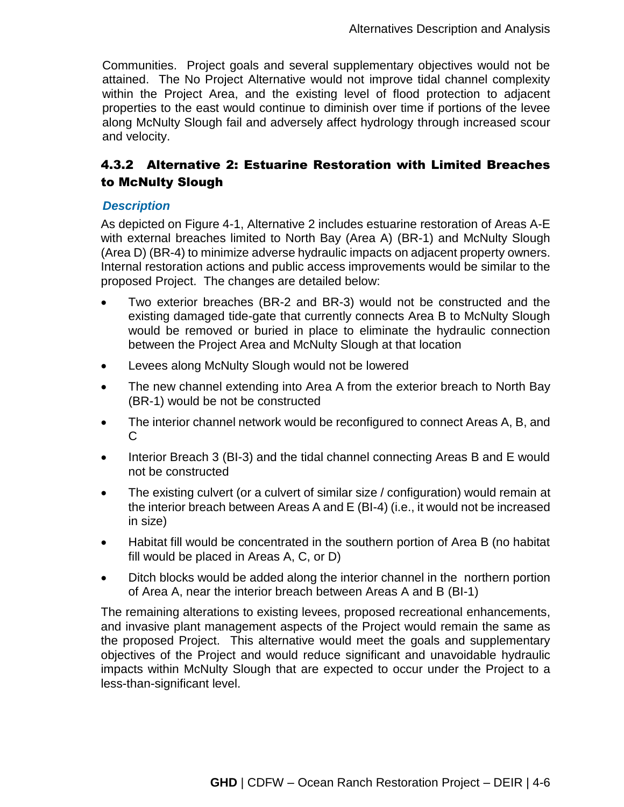Communities. Project goals and several supplementary objectives would not be attained. The No Project Alternative would not improve tidal channel complexity within the Project Area, and the existing level of flood protection to adjacent properties to the east would continue to diminish over time if portions of the levee along McNulty Slough fail and adversely affect hydrology through increased scour and velocity.

# 4.3.2 Alternative 2: Estuarine Restoration with Limited Breaches to McNulty Slough

## *Description*

As depicted on Figure 4-1, Alternative 2 includes estuarine restoration of Areas A-E with external breaches limited to North Bay (Area A) (BR-1) and McNulty Slough (Area D) (BR-4) to minimize adverse hydraulic impacts on adjacent property owners. Internal restoration actions and public access improvements would be similar to the proposed Project. The changes are detailed below:

- Two exterior breaches (BR-2 and BR-3) would not be constructed and the existing damaged tide-gate that currently connects Area B to McNulty Slough would be removed or buried in place to eliminate the hydraulic connection between the Project Area and McNulty Slough at that location
- Levees along McNulty Slough would not be lowered
- The new channel extending into Area A from the exterior breach to North Bay (BR-1) would be not be constructed
- The interior channel network would be reconfigured to connect Areas A, B, and C
- Interior Breach 3 (BI-3) and the tidal channel connecting Areas B and E would not be constructed
- The existing culvert (or a culvert of similar size / configuration) would remain at the interior breach between Areas A and E (BI-4) (i.e., it would not be increased in size)
- Habitat fill would be concentrated in the southern portion of Area B (no habitat fill would be placed in Areas A, C, or D)
- Ditch blocks would be added along the interior channel in the northern portion of Area A, near the interior breach between Areas A and B (BI-1)

The remaining alterations to existing levees, proposed recreational enhancements, and invasive plant management aspects of the Project would remain the same as the proposed Project. This alternative would meet the goals and supplementary objectives of the Project and would reduce significant and unavoidable hydraulic impacts within McNulty Slough that are expected to occur under the Project to a less-than-significant level.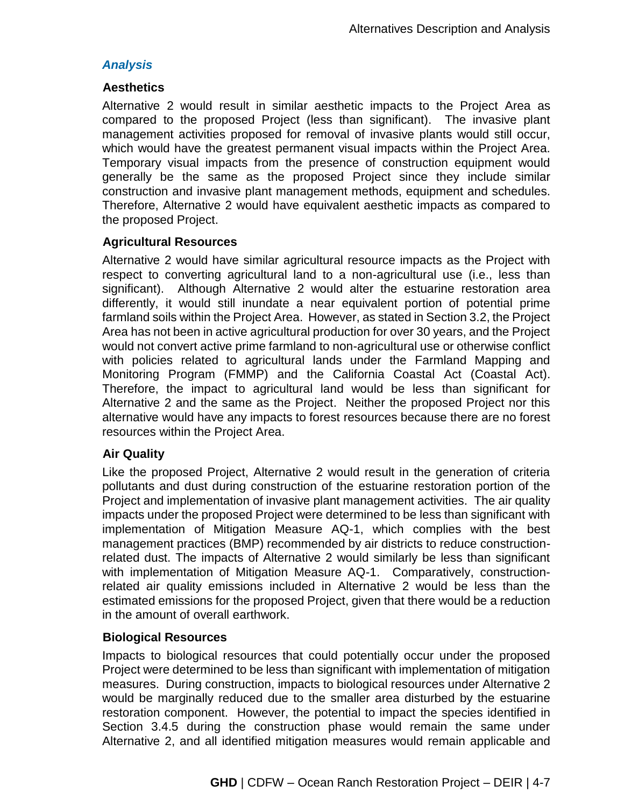## *Analysis*

#### **Aesthetics**

Alternative 2 would result in similar aesthetic impacts to the Project Area as compared to the proposed Project (less than significant). The invasive plant management activities proposed for removal of invasive plants would still occur, which would have the greatest permanent visual impacts within the Project Area. Temporary visual impacts from the presence of construction equipment would generally be the same as the proposed Project since they include similar construction and invasive plant management methods, equipment and schedules. Therefore, Alternative 2 would have equivalent aesthetic impacts as compared to the proposed Project.

## **Agricultural Resources**

Alternative 2 would have similar agricultural resource impacts as the Project with respect to converting agricultural land to a non-agricultural use (i.e., less than significant). Although Alternative 2 would alter the estuarine restoration area differently, it would still inundate a near equivalent portion of potential prime farmland soils within the Project Area. However, as stated in Section 3.2, the Project Area has not been in active agricultural production for over 30 years, and the Project would not convert active prime farmland to non-agricultural use or otherwise conflict with policies related to agricultural lands under the Farmland Mapping and Monitoring Program (FMMP) and the California Coastal Act (Coastal Act). Therefore, the impact to agricultural land would be less than significant for Alternative 2 and the same as the Project. Neither the proposed Project nor this alternative would have any impacts to forest resources because there are no forest resources within the Project Area.

## **Air Quality**

Like the proposed Project, Alternative 2 would result in the generation of criteria pollutants and dust during construction of the estuarine restoration portion of the Project and implementation of invasive plant management activities. The air quality impacts under the proposed Project were determined to be less than significant with implementation of Mitigation Measure AQ-1, which complies with the best management practices (BMP) recommended by air districts to reduce constructionrelated dust. The impacts of Alternative 2 would similarly be less than significant with implementation of Mitigation Measure AQ-1. Comparatively, constructionrelated air quality emissions included in Alternative 2 would be less than the estimated emissions for the proposed Project, given that there would be a reduction in the amount of overall earthwork.

## **Biological Resources**

Impacts to biological resources that could potentially occur under the proposed Project were determined to be less than significant with implementation of mitigation measures. During construction, impacts to biological resources under Alternative 2 would be marginally reduced due to the smaller area disturbed by the estuarine restoration component. However, the potential to impact the species identified in Section 3.4.5 during the construction phase would remain the same under Alternative 2, and all identified mitigation measures would remain applicable and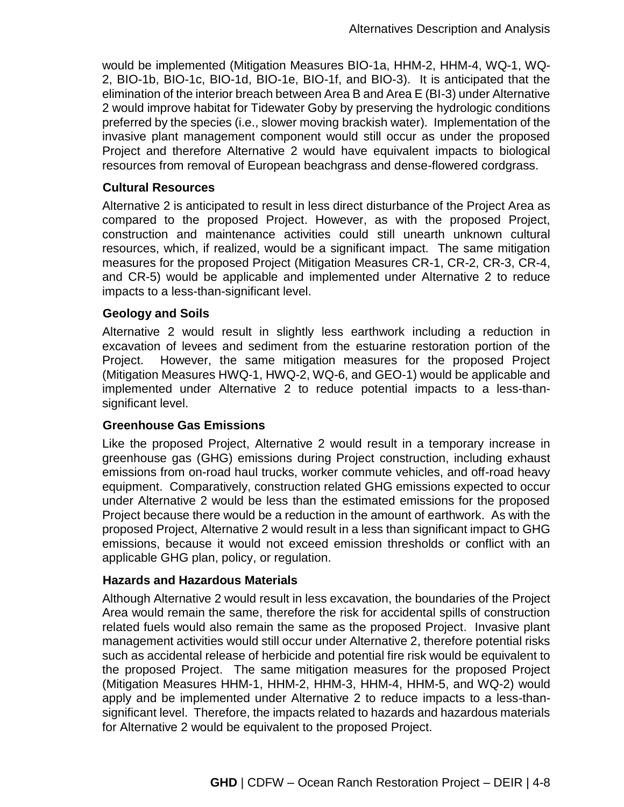would be implemented (Mitigation Measures BIO-1a, HHM-2, HHM-4, WQ-1, WQ-2, BIO-1b, BIO-1c, BIO-1d, BIO-1e, BIO-1f, and BIO-3). It is anticipated that the elimination of the interior breach between Area B and Area E (BI-3) under Alternative 2 would improve habitat for Tidewater Goby by preserving the hydrologic conditions preferred by the species (i.e., slower moving brackish water). Implementation of the invasive plant management component would still occur as under the proposed Project and therefore Alternative 2 would have equivalent impacts to biological resources from removal of European beachgrass and dense-flowered cordgrass.

#### **Cultural Resources**

Alternative 2 is anticipated to result in less direct disturbance of the Project Area as compared to the proposed Project. However, as with the proposed Project, construction and maintenance activities could still unearth unknown cultural resources, which, if realized, would be a significant impact. The same mitigation measures for the proposed Project (Mitigation Measures CR-1, CR-2, CR-3, CR-4, and CR-5) would be applicable and implemented under Alternative 2 to reduce impacts to a less-than-significant level.

#### **Geology and Soils**

Alternative 2 would result in slightly less earthwork including a reduction in excavation of levees and sediment from the estuarine restoration portion of the Project. However, the same mitigation measures for the proposed Project (Mitigation Measures HWQ-1, HWQ-2, WQ-6, and GEO-1) would be applicable and implemented under Alternative 2 to reduce potential impacts to a less-thansignificant level.

## **Greenhouse Gas Emissions**

Like the proposed Project, Alternative 2 would result in a temporary increase in greenhouse gas (GHG) emissions during Project construction, including exhaust emissions from on-road haul trucks, worker commute vehicles, and off-road heavy equipment. Comparatively, construction related GHG emissions expected to occur under Alternative 2 would be less than the estimated emissions for the proposed Project because there would be a reduction in the amount of earthwork. As with the proposed Project, Alternative 2 would result in a less than significant impact to GHG emissions, because it would not exceed emission thresholds or conflict with an applicable GHG plan, policy, or regulation.

#### **Hazards and Hazardous Materials**

Although Alternative 2 would result in less excavation, the boundaries of the Project Area would remain the same, therefore the risk for accidental spills of construction related fuels would also remain the same as the proposed Project. Invasive plant management activities would still occur under Alternative 2, therefore potential risks such as accidental release of herbicide and potential fire risk would be equivalent to the proposed Project. The same mitigation measures for the proposed Project (Mitigation Measures HHM-1, HHM-2, HHM-3, HHM-4, HHM-5, and WQ-2) would apply and be implemented under Alternative 2 to reduce impacts to a less-thansignificant level. Therefore, the impacts related to hazards and hazardous materials for Alternative 2 would be equivalent to the proposed Project.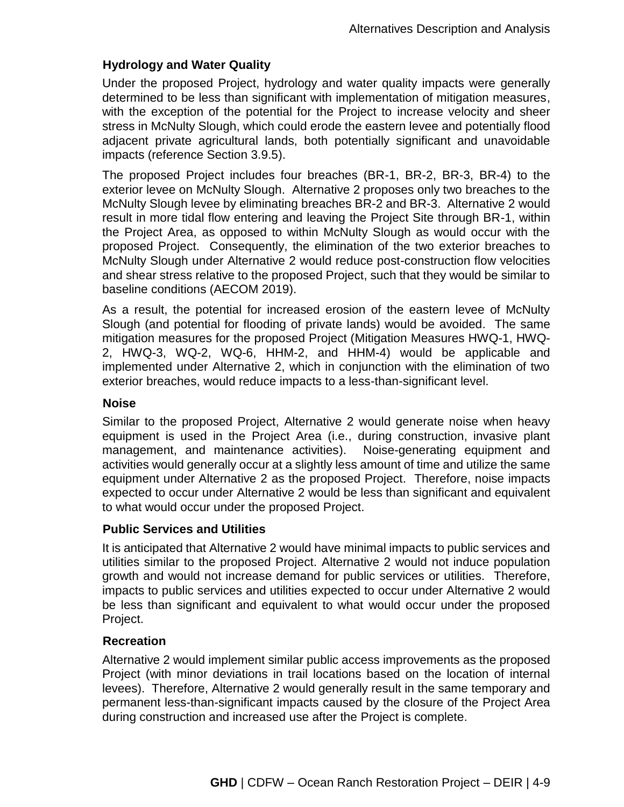## **Hydrology and Water Quality**

Under the proposed Project, hydrology and water quality impacts were generally determined to be less than significant with implementation of mitigation measures, with the exception of the potential for the Project to increase velocity and sheer stress in McNulty Slough, which could erode the eastern levee and potentially flood adjacent private agricultural lands, both potentially significant and unavoidable impacts (reference Section 3.9.5).

The proposed Project includes four breaches (BR-1, BR-2, BR-3, BR-4) to the exterior levee on McNulty Slough. Alternative 2 proposes only two breaches to the McNulty Slough levee by eliminating breaches BR-2 and BR-3. Alternative 2 would result in more tidal flow entering and leaving the Project Site through BR-1, within the Project Area, as opposed to within McNulty Slough as would occur with the proposed Project. Consequently, the elimination of the two exterior breaches to McNulty Slough under Alternative 2 would reduce post-construction flow velocities and shear stress relative to the proposed Project, such that they would be similar to baseline conditions (AECOM 2019).

As a result, the potential for increased erosion of the eastern levee of McNulty Slough (and potential for flooding of private lands) would be avoided. The same mitigation measures for the proposed Project (Mitigation Measures HWQ-1, HWQ-2, HWQ-3, WQ-2, WQ-6, HHM-2, and HHM-4) would be applicable and implemented under Alternative 2, which in conjunction with the elimination of two exterior breaches, would reduce impacts to a less-than-significant level.

#### **Noise**

Similar to the proposed Project, Alternative 2 would generate noise when heavy equipment is used in the Project Area (i.e., during construction, invasive plant management, and maintenance activities). Noise-generating equipment and activities would generally occur at a slightly less amount of time and utilize the same equipment under Alternative 2 as the proposed Project. Therefore, noise impacts expected to occur under Alternative 2 would be less than significant and equivalent to what would occur under the proposed Project.

## **Public Services and Utilities**

It is anticipated that Alternative 2 would have minimal impacts to public services and utilities similar to the proposed Project. Alternative 2 would not induce population growth and would not increase demand for public services or utilities. Therefore, impacts to public services and utilities expected to occur under Alternative 2 would be less than significant and equivalent to what would occur under the proposed Project.

## **Recreation**

Alternative 2 would implement similar public access improvements as the proposed Project (with minor deviations in trail locations based on the location of internal levees). Therefore, Alternative 2 would generally result in the same temporary and permanent less-than-significant impacts caused by the closure of the Project Area during construction and increased use after the Project is complete.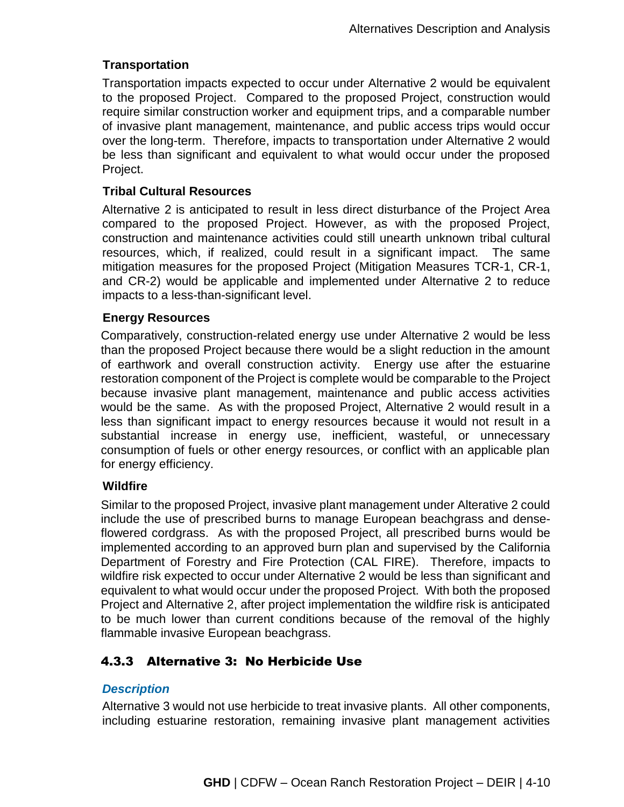# **Transportation**

Transportation impacts expected to occur under Alternative 2 would be equivalent to the proposed Project. Compared to the proposed Project, construction would require similar construction worker and equipment trips, and a comparable number of invasive plant management, maintenance, and public access trips would occur over the long-term. Therefore, impacts to transportation under Alternative 2 would be less than significant and equivalent to what would occur under the proposed Project.

## **Tribal Cultural Resources**

Alternative 2 is anticipated to result in less direct disturbance of the Project Area compared to the proposed Project. However, as with the proposed Project, construction and maintenance activities could still unearth unknown tribal cultural resources, which, if realized, could result in a significant impact. The same mitigation measures for the proposed Project (Mitigation Measures TCR-1, CR-1, and CR-2) would be applicable and implemented under Alternative 2 to reduce impacts to a less-than-significant level.

## **Energy Resources**

Comparatively, construction-related energy use under Alternative 2 would be less than the proposed Project because there would be a slight reduction in the amount of earthwork and overall construction activity. Energy use after the estuarine restoration component of the Project is complete would be comparable to the Project because invasive plant management, maintenance and public access activities would be the same. As with the proposed Project, Alternative 2 would result in a less than significant impact to energy resources because it would not result in a substantial increase in energy use, inefficient, wasteful, or unnecessary consumption of fuels or other energy resources, or conflict with an applicable plan for energy efficiency.

## **Wildfire**

Similar to the proposed Project, invasive plant management under Alterative 2 could include the use of prescribed burns to manage European beachgrass and denseflowered cordgrass. As with the proposed Project, all prescribed burns would be implemented according to an approved burn plan and supervised by the California Department of Forestry and Fire Protection (CAL FIRE). Therefore, impacts to wildfire risk expected to occur under Alternative 2 would be less than significant and equivalent to what would occur under the proposed Project. With both the proposed Project and Alternative 2, after project implementation the wildfire risk is anticipated to be much lower than current conditions because of the removal of the highly flammable invasive European beachgrass.

# 4.3.3 Alternative 3: No Herbicide Use

## *Description*

Alternative 3 would not use herbicide to treat invasive plants. All other components, including estuarine restoration, remaining invasive plant management activities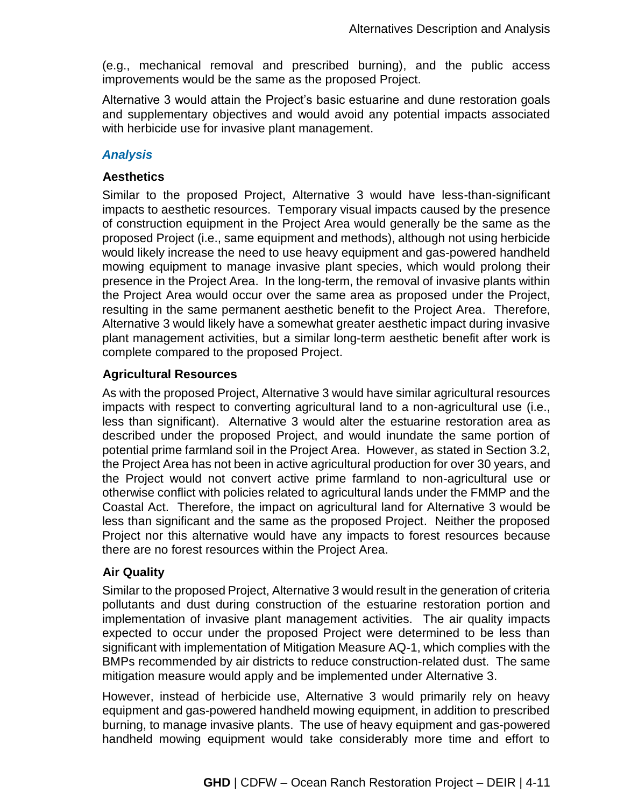(e.g., mechanical removal and prescribed burning), and the public access improvements would be the same as the proposed Project.

Alternative 3 would attain the Project's basic estuarine and dune restoration goals and supplementary objectives and would avoid any potential impacts associated with herbicide use for invasive plant management.

#### *Analysis*

#### **Aesthetics**

Similar to the proposed Project, Alternative 3 would have less-than-significant impacts to aesthetic resources. Temporary visual impacts caused by the presence of construction equipment in the Project Area would generally be the same as the proposed Project (i.e., same equipment and methods), although not using herbicide would likely increase the need to use heavy equipment and gas-powered handheld mowing equipment to manage invasive plant species, which would prolong their presence in the Project Area. In the long-term, the removal of invasive plants within the Project Area would occur over the same area as proposed under the Project, resulting in the same permanent aesthetic benefit to the Project Area. Therefore, Alternative 3 would likely have a somewhat greater aesthetic impact during invasive plant management activities, but a similar long-term aesthetic benefit after work is complete compared to the proposed Project.

## **Agricultural Resources**

As with the proposed Project, Alternative 3 would have similar agricultural resources impacts with respect to converting agricultural land to a non-agricultural use (i.e., less than significant). Alternative 3 would alter the estuarine restoration area as described under the proposed Project, and would inundate the same portion of potential prime farmland soil in the Project Area. However, as stated in Section 3.2, the Project Area has not been in active agricultural production for over 30 years, and the Project would not convert active prime farmland to non-agricultural use or otherwise conflict with policies related to agricultural lands under the FMMP and the Coastal Act. Therefore, the impact on agricultural land for Alternative 3 would be less than significant and the same as the proposed Project. Neither the proposed Project nor this alternative would have any impacts to forest resources because there are no forest resources within the Project Area.

## **Air Quality**

Similar to the proposed Project, Alternative 3 would result in the generation of criteria pollutants and dust during construction of the estuarine restoration portion and implementation of invasive plant management activities. The air quality impacts expected to occur under the proposed Project were determined to be less than significant with implementation of Mitigation Measure AQ-1, which complies with the BMPs recommended by air districts to reduce construction-related dust. The same mitigation measure would apply and be implemented under Alternative 3.

However, instead of herbicide use, Alternative 3 would primarily rely on heavy equipment and gas-powered handheld mowing equipment, in addition to prescribed burning, to manage invasive plants. The use of heavy equipment and gas-powered handheld mowing equipment would take considerably more time and effort to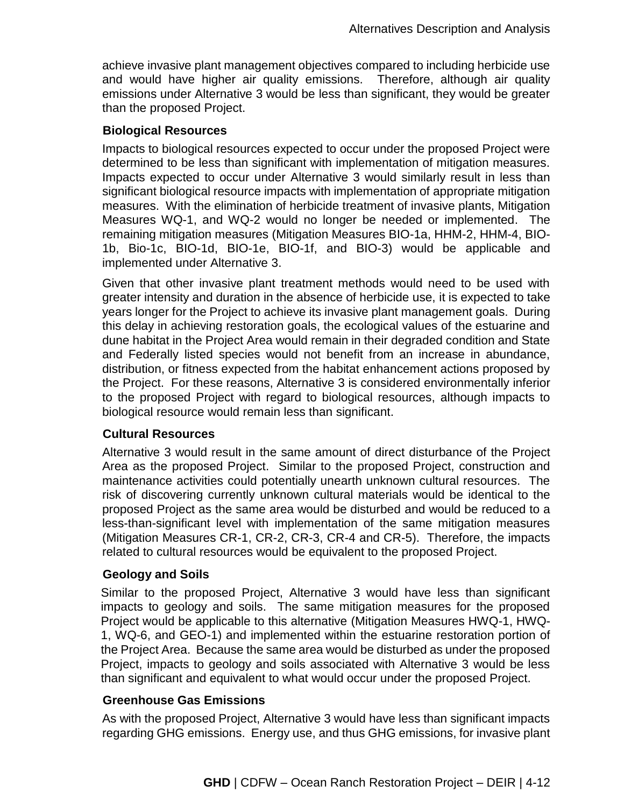achieve invasive plant management objectives compared to including herbicide use and would have higher air quality emissions. Therefore, although air quality emissions under Alternative 3 would be less than significant, they would be greater than the proposed Project.

## **Biological Resources**

Impacts to biological resources expected to occur under the proposed Project were determined to be less than significant with implementation of mitigation measures. Impacts expected to occur under Alternative 3 would similarly result in less than significant biological resource impacts with implementation of appropriate mitigation measures. With the elimination of herbicide treatment of invasive plants, Mitigation Measures WQ-1, and WQ-2 would no longer be needed or implemented. The remaining mitigation measures (Mitigation Measures BIO-1a, HHM-2, HHM-4, BIO-1b, Bio-1c, BIO-1d, BIO-1e, BIO-1f, and BIO-3) would be applicable and implemented under Alternative 3.

Given that other invasive plant treatment methods would need to be used with greater intensity and duration in the absence of herbicide use, it is expected to take years longer for the Project to achieve its invasive plant management goals. During this delay in achieving restoration goals, the ecological values of the estuarine and dune habitat in the Project Area would remain in their degraded condition and State and Federally listed species would not benefit from an increase in abundance, distribution, or fitness expected from the habitat enhancement actions proposed by the Project. For these reasons, Alternative 3 is considered environmentally inferior to the proposed Project with regard to biological resources, although impacts to biological resource would remain less than significant.

## **Cultural Resources**

Alternative 3 would result in the same amount of direct disturbance of the Project Area as the proposed Project. Similar to the proposed Project, construction and maintenance activities could potentially unearth unknown cultural resources. The risk of discovering currently unknown cultural materials would be identical to the proposed Project as the same area would be disturbed and would be reduced to a less-than-significant level with implementation of the same mitigation measures (Mitigation Measures CR-1, CR-2, CR-3, CR-4 and CR-5). Therefore, the impacts related to cultural resources would be equivalent to the proposed Project.

# **Geology and Soils**

Similar to the proposed Project, Alternative 3 would have less than significant impacts to geology and soils. The same mitigation measures for the proposed Project would be applicable to this alternative (Mitigation Measures HWQ-1, HWQ-1, WQ-6, and GEO-1) and implemented within the estuarine restoration portion of the Project Area. Because the same area would be disturbed as under the proposed Project, impacts to geology and soils associated with Alternative 3 would be less than significant and equivalent to what would occur under the proposed Project.

## **Greenhouse Gas Emissions**

As with the proposed Project, Alternative 3 would have less than significant impacts regarding GHG emissions. Energy use, and thus GHG emissions, for invasive plant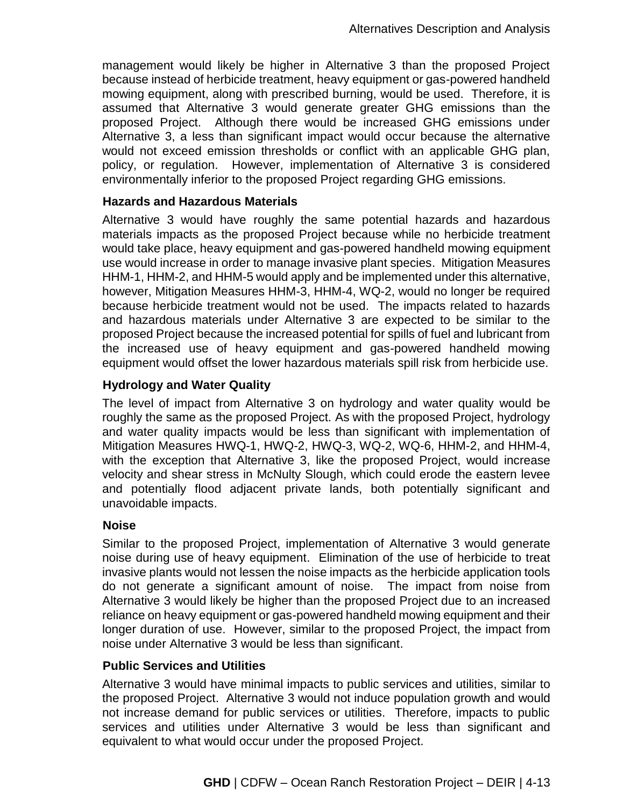management would likely be higher in Alternative 3 than the proposed Project because instead of herbicide treatment, heavy equipment or gas-powered handheld mowing equipment, along with prescribed burning, would be used. Therefore, it is assumed that Alternative 3 would generate greater GHG emissions than the proposed Project. Although there would be increased GHG emissions under Alternative 3, a less than significant impact would occur because the alternative would not exceed emission thresholds or conflict with an applicable GHG plan, policy, or regulation. However, implementation of Alternative 3 is considered environmentally inferior to the proposed Project regarding GHG emissions.

#### **Hazards and Hazardous Materials**

Alternative 3 would have roughly the same potential hazards and hazardous materials impacts as the proposed Project because while no herbicide treatment would take place, heavy equipment and gas-powered handheld mowing equipment use would increase in order to manage invasive plant species. Mitigation Measures HHM-1, HHM-2, and HHM-5 would apply and be implemented under this alternative, however, Mitigation Measures HHM-3, HHM-4, WQ-2, would no longer be required because herbicide treatment would not be used. The impacts related to hazards and hazardous materials under Alternative 3 are expected to be similar to the proposed Project because the increased potential for spills of fuel and lubricant from the increased use of heavy equipment and gas-powered handheld mowing equipment would offset the lower hazardous materials spill risk from herbicide use.

## **Hydrology and Water Quality**

The level of impact from Alternative 3 on hydrology and water quality would be roughly the same as the proposed Project. As with the proposed Project, hydrology and water quality impacts would be less than significant with implementation of Mitigation Measures HWQ-1, HWQ-2, HWQ-3, WQ-2, WQ-6, HHM-2, and HHM-4, with the exception that Alternative 3, like the proposed Project, would increase velocity and shear stress in McNulty Slough, which could erode the eastern levee and potentially flood adjacent private lands, both potentially significant and unavoidable impacts.

#### **Noise**

Similar to the proposed Project, implementation of Alternative 3 would generate noise during use of heavy equipment. Elimination of the use of herbicide to treat invasive plants would not lessen the noise impacts as the herbicide application tools do not generate a significant amount of noise. The impact from noise from Alternative 3 would likely be higher than the proposed Project due to an increased reliance on heavy equipment or gas-powered handheld mowing equipment and their longer duration of use. However, similar to the proposed Project, the impact from noise under Alternative 3 would be less than significant.

#### **Public Services and Utilities**

Alternative 3 would have minimal impacts to public services and utilities, similar to the proposed Project. Alternative 3 would not induce population growth and would not increase demand for public services or utilities. Therefore, impacts to public services and utilities under Alternative 3 would be less than significant and equivalent to what would occur under the proposed Project.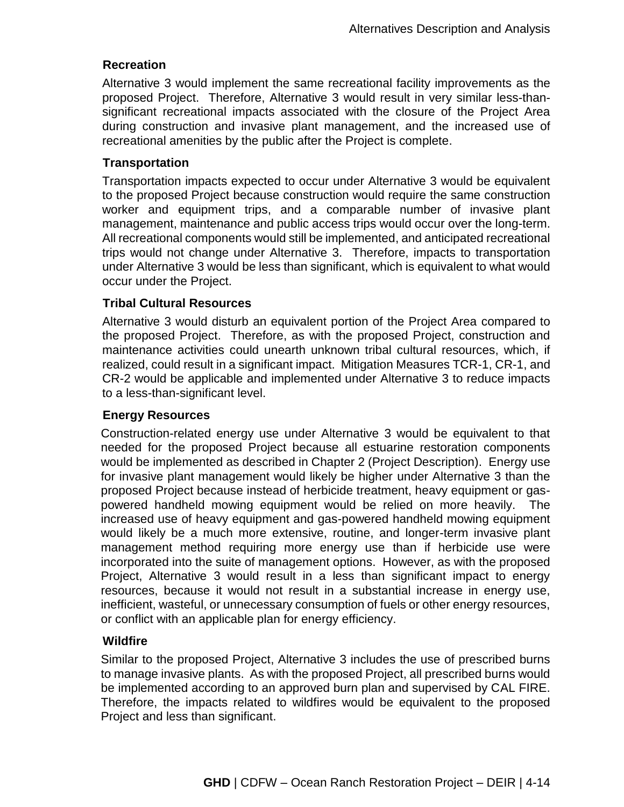## **Recreation**

Alternative 3 would implement the same recreational facility improvements as the proposed Project. Therefore, Alternative 3 would result in very similar less-thansignificant recreational impacts associated with the closure of the Project Area during construction and invasive plant management, and the increased use of recreational amenities by the public after the Project is complete.

#### **Transportation**

Transportation impacts expected to occur under Alternative 3 would be equivalent to the proposed Project because construction would require the same construction worker and equipment trips, and a comparable number of invasive plant management, maintenance and public access trips would occur over the long-term. All recreational components would still be implemented, and anticipated recreational trips would not change under Alternative 3. Therefore, impacts to transportation under Alternative 3 would be less than significant, which is equivalent to what would occur under the Project.

#### **Tribal Cultural Resources**

Alternative 3 would disturb an equivalent portion of the Project Area compared to the proposed Project. Therefore, as with the proposed Project, construction and maintenance activities could unearth unknown tribal cultural resources, which, if realized, could result in a significant impact. Mitigation Measures TCR-1, CR-1, and CR-2 would be applicable and implemented under Alternative 3 to reduce impacts to a less-than-significant level.

## **Energy Resources**

Construction-related energy use under Alternative 3 would be equivalent to that needed for the proposed Project because all estuarine restoration components would be implemented as described in Chapter 2 (Project Description). Energy use for invasive plant management would likely be higher under Alternative 3 than the proposed Project because instead of herbicide treatment, heavy equipment or gaspowered handheld mowing equipment would be relied on more heavily. The increased use of heavy equipment and gas-powered handheld mowing equipment would likely be a much more extensive, routine, and longer-term invasive plant management method requiring more energy use than if herbicide use were incorporated into the suite of management options. However, as with the proposed Project, Alternative 3 would result in a less than significant impact to energy resources, because it would not result in a substantial increase in energy use, inefficient, wasteful, or unnecessary consumption of fuels or other energy resources, or conflict with an applicable plan for energy efficiency.

## **Wildfire**

Similar to the proposed Project, Alternative 3 includes the use of prescribed burns to manage invasive plants. As with the proposed Project, all prescribed burns would be implemented according to an approved burn plan and supervised by CAL FIRE. Therefore, the impacts related to wildfires would be equivalent to the proposed Project and less than significant.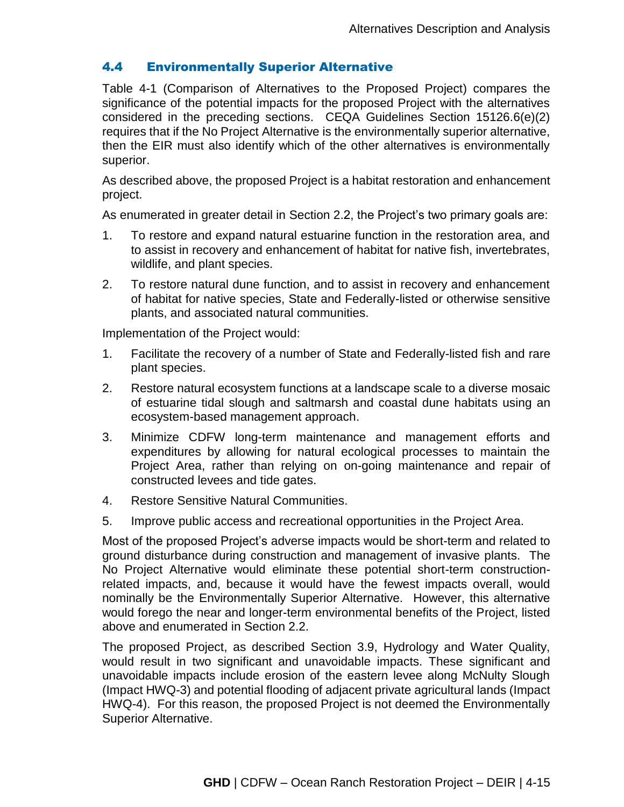## 4.4 Environmentally Superior Alternative

Table 4-1 (Comparison of Alternatives to the Proposed Project) compares the significance of the potential impacts for the proposed Project with the alternatives considered in the preceding sections. CEQA Guidelines Section 15126.6(e)(2) requires that if the No Project Alternative is the environmentally superior alternative, then the EIR must also identify which of the other alternatives is environmentally superior.

As described above, the proposed Project is a habitat restoration and enhancement project.

As enumerated in greater detail in Section 2.2, the Project's two primary goals are:

- 1. To restore and expand natural estuarine function in the restoration area, and to assist in recovery and enhancement of habitat for native fish, invertebrates, wildlife, and plant species.
- 2. To restore natural dune function, and to assist in recovery and enhancement of habitat for native species, State and Federally-listed or otherwise sensitive plants, and associated natural communities.

Implementation of the Project would:

- 1. Facilitate the recovery of a number of State and Federally-listed fish and rare plant species.
- 2. Restore natural ecosystem functions at a landscape scale to a diverse mosaic of estuarine tidal slough and saltmarsh and coastal dune habitats using an ecosystem-based management approach.
- 3. Minimize CDFW long-term maintenance and management efforts and expenditures by allowing for natural ecological processes to maintain the Project Area, rather than relying on on-going maintenance and repair of constructed levees and tide gates.
- 4. Restore Sensitive Natural Communities.
- 5. Improve public access and recreational opportunities in the Project Area.

Most of the proposed Project's adverse impacts would be short-term and related to ground disturbance during construction and management of invasive plants. The No Project Alternative would eliminate these potential short-term constructionrelated impacts, and, because it would have the fewest impacts overall, would nominally be the Environmentally Superior Alternative. However, this alternative would forego the near and longer-term environmental benefits of the Project, listed above and enumerated in Section 2.2.

The proposed Project, as described Section 3.9, Hydrology and Water Quality, would result in two significant and unavoidable impacts. These significant and unavoidable impacts include erosion of the eastern levee along McNulty Slough (Impact HWQ-3) and potential flooding of adjacent private agricultural lands (Impact HWQ-4). For this reason, the proposed Project is not deemed the Environmentally Superior Alternative.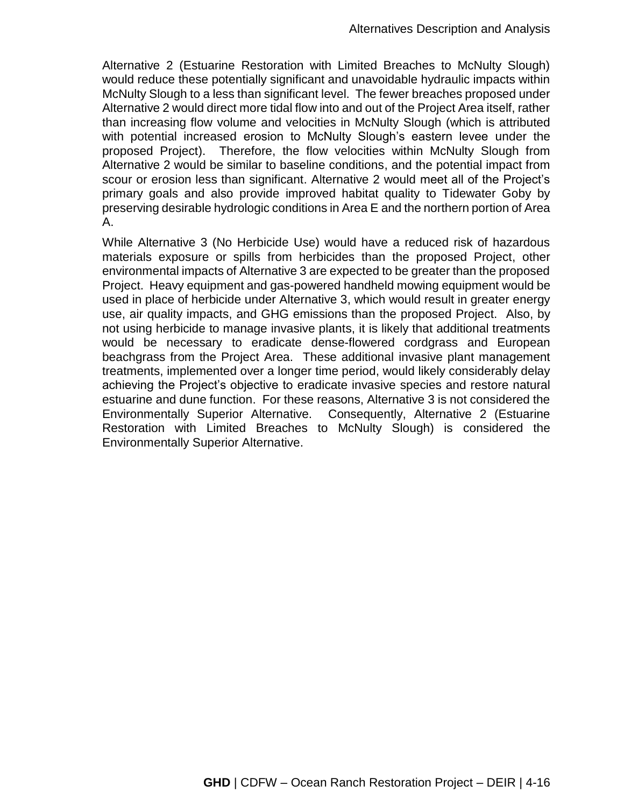Alternative 2 (Estuarine Restoration with Limited Breaches to McNulty Slough) would reduce these potentially significant and unavoidable hydraulic impacts within McNulty Slough to a less than significant level. The fewer breaches proposed under Alternative 2 would direct more tidal flow into and out of the Project Area itself, rather than increasing flow volume and velocities in McNulty Slough (which is attributed with potential increased erosion to McNulty Slough's eastern levee under the proposed Project). Therefore, the flow velocities within McNulty Slough from Alternative 2 would be similar to baseline conditions, and the potential impact from scour or erosion less than significant. Alternative 2 would meet all of the Project's primary goals and also provide improved habitat quality to Tidewater Goby by preserving desirable hydrologic conditions in Area E and the northern portion of Area A.

While Alternative 3 (No Herbicide Use) would have a reduced risk of hazardous materials exposure or spills from herbicides than the proposed Project, other environmental impacts of Alternative 3 are expected to be greater than the proposed Project. Heavy equipment and gas-powered handheld mowing equipment would be used in place of herbicide under Alternative 3, which would result in greater energy use, air quality impacts, and GHG emissions than the proposed Project. Also, by not using herbicide to manage invasive plants, it is likely that additional treatments would be necessary to eradicate dense-flowered cordgrass and European beachgrass from the Project Area. These additional invasive plant management treatments, implemented over a longer time period, would likely considerably delay achieving the Project's objective to eradicate invasive species and restore natural estuarine and dune function. For these reasons, Alternative 3 is not considered the Environmentally Superior Alternative. Consequently, Alternative 2 (Estuarine Restoration with Limited Breaches to McNulty Slough) is considered the Environmentally Superior Alternative.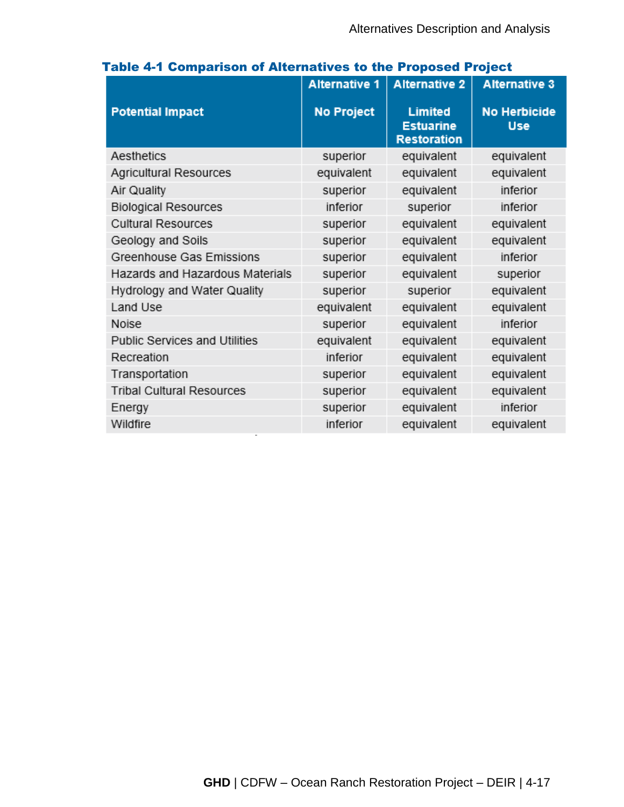|                                  | <b>Alternative 1</b> | <b>Alternative 2</b>                                     | <b>Alternative 3</b>              |
|----------------------------------|----------------------|----------------------------------------------------------|-----------------------------------|
| <b>Potential Impact</b>          | <b>No Project</b>    | <b>Limited</b><br><b>Estuarine</b><br><b>Restoration</b> | <b>No Herbicide</b><br><b>Use</b> |
| Aesthetics                       | superior             | equivalent                                               | equivalent                        |
| Agricultural Resources           | equivalent           | equivalent                                               | equivalent                        |
| Air Quality                      | superior             | equivalent                                               | inferior                          |
| <b>Biological Resources</b>      | inferior             | superior                                                 | inferior                          |
| <b>Cultural Resources</b>        | superior             | equivalent                                               | equivalent                        |
| Geology and Soils                | superior             | equivalent                                               | equivalent                        |
| Greenhouse Gas Emissions         | superior             | equivalent                                               | inferior                          |
| Hazards and Hazardous Materials  | superior             | equivalent                                               | superior                          |
| Hydrology and Water Quality      | superior             | superior                                                 | equivalent                        |
| Land Use                         | equivalent           | equivalent                                               | equivalent                        |
| Noise                            | superior             | equivalent                                               | inferior                          |
| Public Services and Utilities    | equivalent           | equivalent                                               | equivalent                        |
| Recreation                       | inferior             | equivalent                                               | equivalent                        |
| Transportation                   | superior             | equivalent                                               | equivalent                        |
| <b>Tribal Cultural Resources</b> | superior             | equivalent                                               | equivalent                        |
| Energy                           | superior             | equivalent                                               | inferior                          |
| Wildfire                         | inferior             | equivalent                                               | equivalent                        |

# Table 4-1 Comparison of Alternatives to the Proposed Project